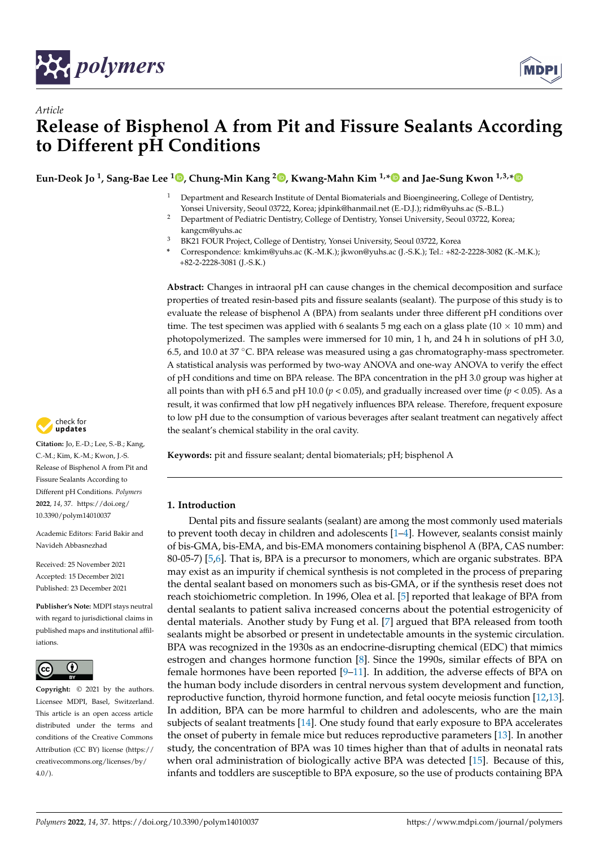

*Article*



# **Release of Bisphenol A from Pit and Fissure Sealants According to Different pH Conditions**

**Eun-Deok Jo <sup>1</sup> , Sang-Bae Lee <sup>1</sup> [,](https://orcid.org/0000-0002-1107-0341) Chung-Min Kang <sup>2</sup> [,](https://orcid.org/0000-0001-7813-3741) Kwang-Mahn Kim 1,[\\*](https://orcid.org/0000-0002-5235-0294) and Jae-Sung Kwon 1,3,[\\*](https://orcid.org/0000-0001-9803-7730)**

- <sup>1</sup> Department and Research Institute of Dental Biomaterials and Bioengineering, College of Dentistry, Yonsei University, Seoul 03722, Korea; jdpink@hanmail.net (E.-D.J.); ridm@yuhs.ac (S.-B.L.)
- <sup>2</sup> Department of Pediatric Dentistry, College of Dentistry, Yonsei University, Seoul 03722, Korea; kangcm@yuhs.ac
- <sup>3</sup> BK21 FOUR Project, College of Dentistry, Yonsei University, Seoul 03722, Korea
- **\*** Correspondence: kmkim@yuhs.ac (K.-M.K.); jkwon@yuhs.ac (J.-S.K.); Tel.: +82-2-2228-3082 (K.-M.K.); +82-2-2228-3081 (J.-S.K.)

**Abstract:** Changes in intraoral pH can cause changes in the chemical decomposition and surface properties of treated resin-based pits and fissure sealants (sealant). The purpose of this study is to evaluate the release of bisphenol A (BPA) from sealants under three different pH conditions over time. The test specimen was applied with 6 sealants 5 mg each on a glass plate ( $10 \times 10$  mm) and photopolymerized. The samples were immersed for 10 min, 1 h, and 24 h in solutions of pH 3.0, 6.5, and 10.0 at 37  $°C$ . BPA release was measured using a gas chromatography-mass spectrometer. A statistical analysis was performed by two-way ANOVA and one-way ANOVA to verify the effect of pH conditions and time on BPA release. The BPA concentration in the pH 3.0 group was higher at all points than with pH 6.5 and pH 10.0 ( $p < 0.05$ ), and gradually increased over time ( $p < 0.05$ ). As a result, it was confirmed that low pH negatively influences BPA release. Therefore, frequent exposure to low pH due to the consumption of various beverages after sealant treatment can negatively affect the sealant's chemical stability in the oral cavity.

**Keywords:** pit and fissure sealant; dental biomaterials; pH; bisphenol A

## **1. Introduction**

Dental pits and fissure sealants (sealant) are among the most commonly used materials to prevent tooth decay in children and adolescents [\[1](#page-9-0)[–4\]](#page-9-1). However, sealants consist mainly of bis-GMA, bis-EMA, and bis-EMA monomers containing bisphenol A (BPA, CAS number: 80-05-7) [\[5,](#page-9-2)[6\]](#page-9-3). That is, BPA is a precursor to monomers, which are organic substrates. BPA may exist as an impurity if chemical synthesis is not completed in the process of preparing the dental sealant based on monomers such as bis-GMA, or if the synthesis reset does not reach stoichiometric completion. In 1996, Olea et al. [\[5\]](#page-9-2) reported that leakage of BPA from dental sealants to patient saliva increased concerns about the potential estrogenicity of dental materials. Another study by Fung et al. [\[7\]](#page-9-4) argued that BPA released from tooth sealants might be absorbed or present in undetectable amounts in the systemic circulation. BPA was recognized in the 1930s as an endocrine-disrupting chemical (EDC) that mimics estrogen and changes hormone function [\[8\]](#page-9-5). Since the 1990s, similar effects of BPA on female hormones have been reported  $[9-11]$  $[9-11]$ . In addition, the adverse effects of BPA on the human body include disorders in central nervous system development and function, reproductive function, thyroid hormone function, and fetal oocyte meiosis function [\[12](#page-9-8)[,13\]](#page-9-9). In addition, BPA can be more harmful to children and adolescents, who are the main subjects of sealant treatments [\[14\]](#page-9-10). One study found that early exposure to BPA accelerates the onset of puberty in female mice but reduces reproductive parameters [\[13\]](#page-9-9). In another study, the concentration of BPA was 10 times higher than that of adults in neonatal rats when oral administration of biologically active BPA was detected [\[15\]](#page-9-11). Because of this, infants and toddlers are susceptible to BPA exposure, so the use of products containing BPA



**Citation:** Jo, E.-D.; Lee, S.-B.; Kang, C.-M.; Kim, K.-M.; Kwon, J.-S. Release of Bisphenol A from Pit and Fissure Sealants According to Different pH Conditions. *Polymers* **2022**, *14*, 37. [https://doi.org/](https://doi.org/10.3390/polym14010037) [10.3390/polym14010037](https://doi.org/10.3390/polym14010037)

Academic Editors: Farid Bakir and Navideh Abbasnezhad

Received: 25 November 2021 Accepted: 15 December 2021 Published: 23 December 2021

**Publisher's Note:** MDPI stays neutral with regard to jurisdictional claims in published maps and institutional affiliations.



**Copyright:** © 2021 by the authors. Licensee MDPI, Basel, Switzerland. This article is an open access article distributed under the terms and conditions of the Creative Commons Attribution (CC BY) license [\(https://](https://creativecommons.org/licenses/by/4.0/) [creativecommons.org/licenses/by/](https://creativecommons.org/licenses/by/4.0/)  $4.0/$ ).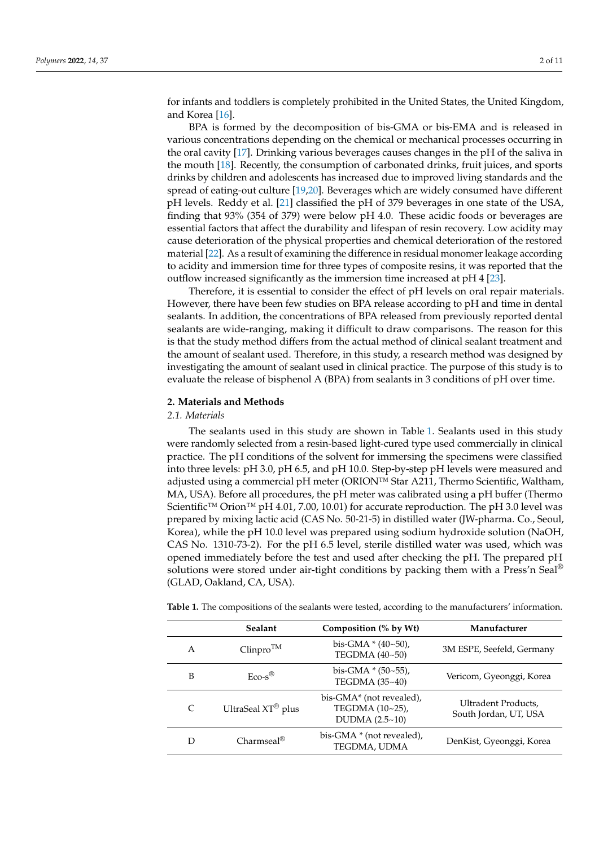for infants and toddlers is completely prohibited in the United States, the United Kingdom, and Korea [\[16\]](#page-9-12).

BPA is formed by the decomposition of bis-GMA or bis-EMA and is released in various concentrations depending on the chemical or mechanical processes occurring in the oral cavity [\[17\]](#page-9-13). Drinking various beverages causes changes in the pH of the saliva in the mouth [\[18\]](#page-10-0). Recently, the consumption of carbonated drinks, fruit juices, and sports drinks by children and adolescents has increased due to improved living standards and the spread of eating-out culture [\[19](#page-10-1)[,20\]](#page-10-2). Beverages which are widely consumed have different pH levels. Reddy et al. [\[21\]](#page-10-3) classified the pH of 379 beverages in one state of the USA, finding that 93% (354 of 379) were below pH 4.0. These acidic foods or beverages are essential factors that affect the durability and lifespan of resin recovery. Low acidity may cause deterioration of the physical properties and chemical deterioration of the restored material [\[22\]](#page-10-4). As a result of examining the difference in residual monomer leakage according to acidity and immersion time for three types of composite resins, it was reported that the outflow increased significantly as the immersion time increased at pH 4 [\[23\]](#page-10-5).

Therefore, it is essential to consider the effect of pH levels on oral repair materials. However, there have been few studies on BPA release according to pH and time in dental sealants. In addition, the concentrations of BPA released from previously reported dental sealants are wide-ranging, making it difficult to draw comparisons. The reason for this is that the study method differs from the actual method of clinical sealant treatment and the amount of sealant used. Therefore, in this study, a research method was designed by investigating the amount of sealant used in clinical practice. The purpose of this study is to evaluate the release of bisphenol A (BPA) from sealants in 3 conditions of pH over time.

#### **2. Materials and Methods**

#### *2.1. Materials*

The sealants used in this study are shown in Table [1.](#page-2-0) Sealants used in this study were randomly selected from a resin-based light-cured type used commercially in clinical practice. The pH conditions of the solvent for immersing the specimens were classified into three levels: pH 3.0, pH 6.5, and pH 10.0. Step-by-step pH levels were measured and adjusted using a commercial pH meter (ORION™ Star A211, Thermo Scientific, Waltham, MA, USA). Before all procedures, the pH meter was calibrated using a pH buffer (Thermo Scientific™ Orion™ pH 4.01, 7.00, 10.01) for accurate reproduction. The pH 3.0 level was prepared by mixing lactic acid (CAS No. 50-21-5) in distilled water (JW-pharma. Co., Seoul, Korea), while the pH 10.0 level was prepared using sodium hydroxide solution (NaOH, CAS No. 1310-73-2). For the pH 6.5 level, sterile distilled water was used, which was opened immediately before the test and used after checking the pH. The prepared pH solutions were stored under air-tight conditions by packing them with a Press'n Seal<sup>®</sup> (GLAD, Oakland, CA, USA).

|   | <b>Sealant</b>                 | Composition (% by Wt)                                           | Manufacturer                                 |
|---|--------------------------------|-----------------------------------------------------------------|----------------------------------------------|
| A | Clinpro <sup>TM</sup>          | bis-GMA $*(40 \sim 50)$ ,<br>TEGDMA (40~50)                     | 3M ESPE, Seefeld, Germany                    |
| B | $E\text{co-S}^{\circledR}$     | bis-GMA $*(50-55)$ ,<br>TEGDMA (35~40)                          | Vericom, Gyeonggi, Korea                     |
| C | UltraSeal XT <sup>®</sup> plus | bis-GMA* (not revealed),<br>TEGDMA (10~25),<br>DUDMA $(2.5~10)$ | Ultradent Products,<br>South Jordan, UT, USA |
| Ð | Charmseal <sup>®</sup>         | bis-GMA * (not revealed),<br>TEGDMA, UDMA                       | DenKist, Gyeonggi, Korea                     |

**Table 1.** The compositions of the sealants were tested, according to the manufacturers' information.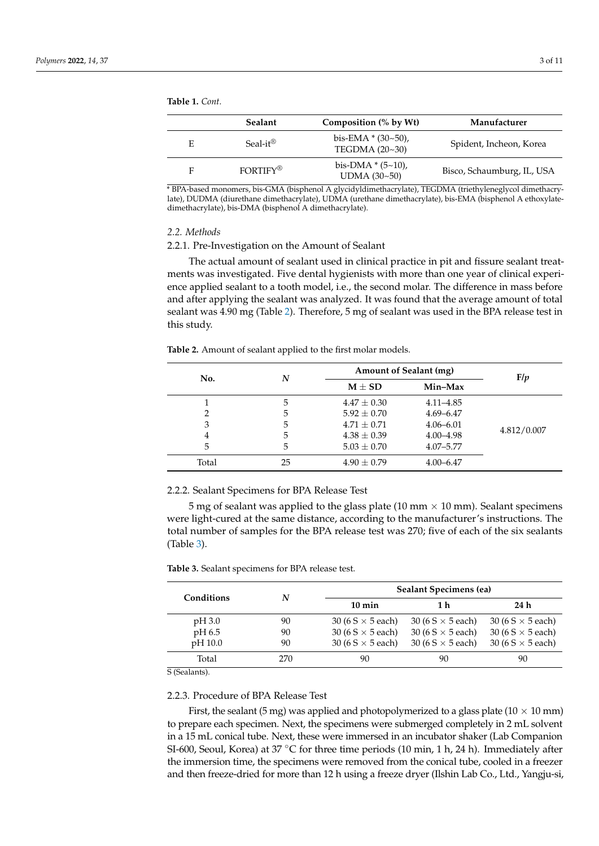|   | <b>Sealant</b>       | Composition (% by Wt)                    | Manufacturer               |
|---|----------------------|------------------------------------------|----------------------------|
| E | Seal-it <sup>®</sup> | bis-EMA $*(30-50)$ ,<br>TEGDMA $(20~30)$ | Spident, Incheon, Korea    |
| F | FORTIFY <sup>®</sup> | bis-DMA $*(5~10)$ ,<br>UDMA (30~50)      | Bisco, Schaumburg, IL, USA |

<span id="page-2-0"></span>**Table 1.** *Cont.*

\* BPA-based monomers, bis-GMA (bisphenol A glycidyldimethacrylate), TEGDMA (triethyleneglycol dimethacrylate), DUDMA (diurethane dimethacrylate), UDMA (urethane dimethacrylate), bis-EMA (bisphenol A ethoxylatedimethacrylate), bis-DMA (bisphenol A dimethacrylate).

#### *2.2. Methods*

#### 2.2.1. Pre-Investigation on the Amount of Sealant

The actual amount of sealant used in clinical practice in pit and fissure sealant treatments was investigated. Five dental hygienists with more than one year of clinical experience applied sealant to a tooth model, i.e., the second molar. The difference in mass before and after applying the sealant was analyzed. It was found that the average amount of total sealant was 4.90 mg (Table [2\)](#page-2-1). Therefore, 5 mg of sealant was used in the BPA release test in this study.

<span id="page-2-1"></span>**Table 2.** Amount of sealant applied to the first molar models.

| No.   | N  | Amount of Sealant (mg) | F/p           |             |
|-------|----|------------------------|---------------|-------------|
|       |    | $M \pm SD$             | Min-Max       |             |
|       | 5  | $4.47 \pm 0.30$        | $4.11 - 4.85$ |             |
| 2     | 5  | $5.92 \pm 0.70$        | $4.69 - 6.47$ |             |
| 3     | 5  | $4.71 \pm 0.71$        | $4.06 - 6.01$ |             |
| 4     | 5  | $4.38 \pm 0.39$        | $4.00 - 4.98$ | 4.812/0.007 |
| 5     | 5  | $5.03 \pm 0.70$        | $4.07 - 5.77$ |             |
| Total | 25 | $4.90 \pm 0.79$        | $4.00 - 6.47$ |             |

#### 2.2.2. Sealant Specimens for BPA Release Test

5 mg of sealant was applied to the glass plate (10 mm  $\times$  10 mm). Sealant specimens were light-cured at the same distance, according to the manufacturer's instructions. The total number of samples for the BPA release test was 270; five of each of the six sealants (Table [3\)](#page-2-2).

|            | N   | Sealant Specimens (ea)   |                          |                          |  |  |
|------------|-----|--------------------------|--------------------------|--------------------------|--|--|
| Conditions |     | $10 \text{ min}$         | 1 h                      | 24 h                     |  |  |
| $pH$ 3.0   | 90  | 30 (6 S $\times$ 5 each) | 30 (6 S $\times$ 5 each) | 30 (6 S $\times$ 5 each) |  |  |
| pH 6.5     | 90  | 30 (6 S $\times$ 5 each) | 30 (6 S $\times$ 5 each) | 30 (6 S $\times$ 5 each) |  |  |
| pH 10.0    | 90  | 30 (6 S $\times$ 5 each) | 30 (6 S $\times$ 5 each) | 30 (6 S $\times$ 5 each) |  |  |
| Total      | 270 |                          | 90                       | 90                       |  |  |

<span id="page-2-2"></span>**Table 3.** Sealant specimens for BPA release test.

S (Sealants).

#### 2.2.3. Procedure of BPA Release Test

First, the sealant (5 mg) was applied and photopolymerized to a glass plate ( $10 \times 10$  mm) to prepare each specimen. Next, the specimens were submerged completely in 2 mL solvent in a 15 mL conical tube. Next, these were immersed in an incubator shaker (Lab Companion SI-600, Seoul, Korea) at 37 °C for three time periods (10 min, 1 h, 24 h). Immediately after the immersion time, the specimens were removed from the conical tube, cooled in a freezer and then freeze-dried for more than 12 h using a freeze dryer (Ilshin Lab Co., Ltd., Yangju-si,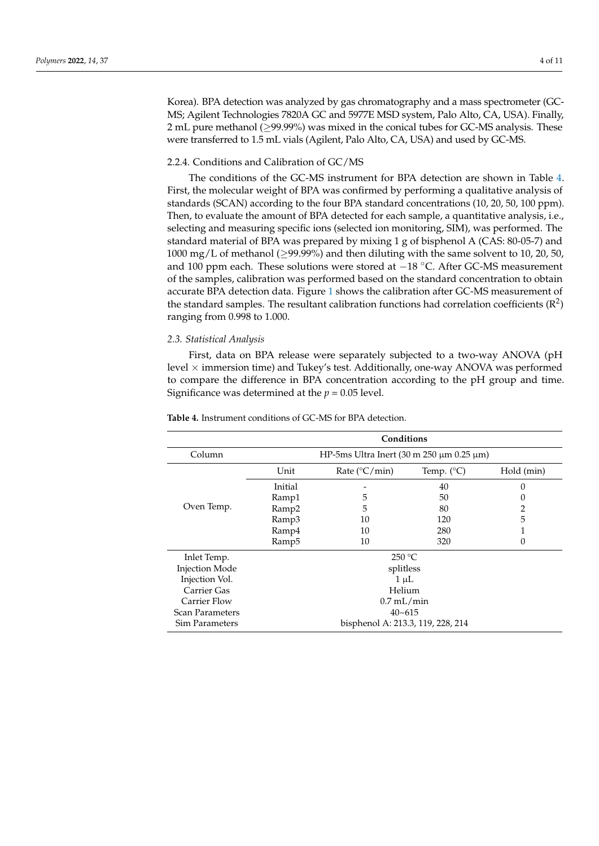Korea). BPA detection was analyzed by gas chromatography and a mass spectrometer (GC-MS; Agilent Technologies 7820A GC and 5977E MSD system, Palo Alto, CA, USA). Finally, 2 mL pure methanol ( $\geq$ 99.99%) was mixed in the conical tubes for GC-MS analysis. These were transferred to 1.5 mL vials (Agilent, Palo Alto, CA, USA) and used by GC-MS.

#### 2.2.4. Conditions and Calibration of GC/MS

The conditions of the GC-MS instrument for BPA detection are shown in Table [4.](#page-3-0) First, the molecular weight of BPA was confirmed by performing a qualitative analysis of standards (SCAN) according to the four BPA standard concentrations (10, 20, 50, 100 ppm). Then, to evaluate the amount of BPA detected for each sample, a quantitative analysis, i.e., selecting and measuring specific ions (selected ion monitoring, SIM), was performed. The standard material of BPA was prepared by mixing 1 g of bisphenol A (CAS: 80-05-7) and 1000 mg/L of methanol (≥99.99%) and then diluting with the same solvent to 10, 20, 50, and 100 ppm each. These solutions were stored at −18 ◦C. After GC-MS measurement of the samples, calibration was performed based on the standard concentration to obtain accurate BPA detection data. Figure [1](#page-4-0) shows the calibration after GC-MS measurement of the standard samples. The resultant calibration functions had correlation coefficients  $(\mathbb{R}^2)$ ranging from 0.998 to 1.000.

#### *2.3. Statistical Analysis*

First, data on BPA release were separately subjected to a two-way ANOVA (pH level  $\times$  immersion time) and Tukey's test. Additionally, one-way ANOVA was performed to compare the difference in BPA concentration according to the pH group and time. Significance was determined at the  $p = 0.05$  level.

|                       | Conditions                                         |                        |                     |            |  |  |
|-----------------------|----------------------------------------------------|------------------------|---------------------|------------|--|--|
| Column                | HP-5ms Ultra Inert (30 m 250 $\mu$ m 0.25 $\mu$ m) |                        |                     |            |  |  |
|                       | Unit                                               | Rate $(^{\circ}C/min)$ | Temp. $(^{\circ}C)$ | Hold (min) |  |  |
|                       | Initial                                            |                        | 40                  | 0          |  |  |
|                       | Ramp1                                              | 5                      | 50                  | 0          |  |  |
| Oven Temp.            | Ramp2                                              | 5                      | 80                  |            |  |  |
|                       | Ramp3                                              | 10                     | 120                 | 5          |  |  |
|                       | Ramp4                                              | 10                     | 280                 |            |  |  |
|                       | Ramp5                                              | 10                     | 320                 | 0          |  |  |
| Inlet Temp.           | 250 °C                                             |                        |                     |            |  |  |
| <b>Injection Mode</b> | splitless                                          |                        |                     |            |  |  |
| Injection Vol.        | $1 \mu L$                                          |                        |                     |            |  |  |
| Carrier Gas           | Helium                                             |                        |                     |            |  |  |
| Carrier Flow          | $0.7$ mL/min                                       |                        |                     |            |  |  |
| Scan Parameters       | $40 - 615$                                         |                        |                     |            |  |  |
| Sim Parameters        | bisphenol A: 213.3, 119, 228, 214                  |                        |                     |            |  |  |

<span id="page-3-0"></span>**Table 4.** Instrument conditions of GC-MS for BPA detection.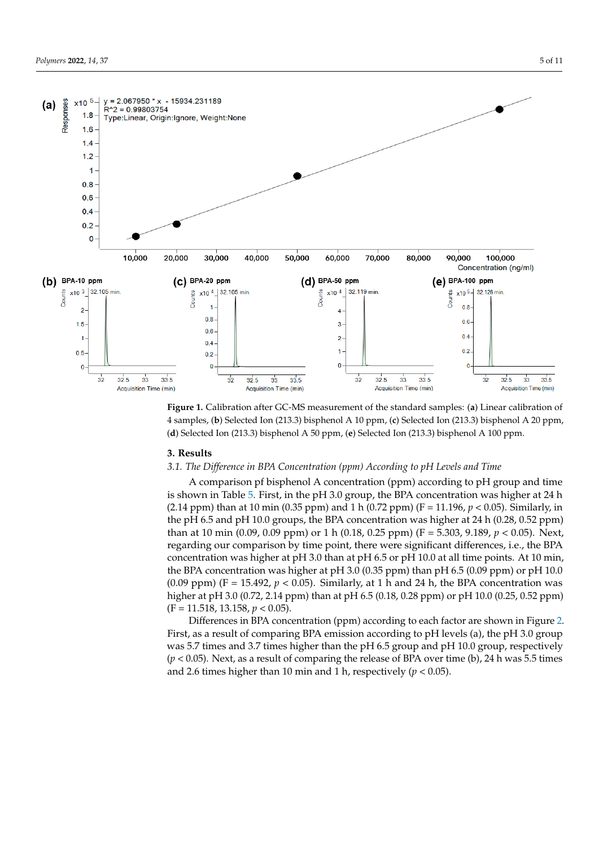<span id="page-4-0"></span>

Figure 1. Calibration after GC-MS measurement of the standard samples: (a) Linear calibration of 4 samples, (b) Selected Ion (213.3) bisphenol A 10 ppm, (c) Selected Ion (213.3) bisphenol A 20 ppm, (**d**) Selected Ion (213.3) bisphenol A 50 ppm, (**e**) Selected Ion (213.3) bisphenol A 100 ppm. (**d**) Selected Ion (213.3) bisphenol A 50 ppm, (**e**) Selected Ion (213.3) bisphenol A 100 ppm.

### *2.3. Statistical Analysis*  **3. Results**

#### 3.1. The Difference in BPA Concentration (ppm) According to pH Levels and Time

A comparison pf bisphenol A concentration (ppm) according to pH group and time is shown in Table [5.](#page-5-0) First, in the pH 3.0 group, the BPA concentration was higher at 24 h (2.14 ppm) than at 10 min (0.35 ppm) and 1 h (0.72 ppm) (F = 11.196,  $p < 0.05$ ). Similarly, in **3. Results**  than at 10 min (0.09, 0.09 ppm) or 1 h (0.18, 0.25 ppm) (F = 5.303, 9.189, *p* < 0.05). Next, regarding our comparison by time point, there were significant differences, i.e., the BPA concentration was higher at pH 3.0 than at pH 6.5 or pH 10.0 at all time points. At 10 min,<br>concentration was higher at pH 3.0 than at pH 6.5 or pH 10.0 at all time points. At 10 min, the BPA concentration was higher at pH 3.0 (0.35 ppm) than pH 6.5 (0.09 ppm) or pH 10.0 (0.09 ppm) (F = 15.492,  $p < 0.05$ ). Similarly, at 1 h and 24 h, the BPA concentration was higher at pH 3.0 (0.72, 2.14 ppm) than at pH 6.5 (0.18, 0.28 ppm) or pH 10.0 (0.25, 0.52 ppm)  $(F = 11.519, 12.159, \ldots)$  0.55 the pH 6.5 and pH 10.0 groups, the BPA concentration was higher at 24 h (0.28, 0.52 ppm) (F = 11.518, 13.158, *p* < 0.05).

 $p = 11.51$ ,  $p = 0.05$ ,  $p = 0.05$ .<br>Differences in BPA concentration (ppm) according to each factor are shown in Figure [2.](#page-5-1) EXT, register and the physical method in the significant differences in ETT concentration (ppm) according to pH levels (a), the pH 3.0 group was 5.7 times and 3.7 times higher than the pH 6.5 group and pH 10.0 group, respectively  $p < 0.05$ ). Next, as a result of comparing the release of BPA over time (b), 24 h was 5.5 times ph 0.009/ r tenty as a testan or comparation of the BPA concentration  $\mu > 0.05$ . and 2.6 times higher than 10 min and 1 h, respectively ( $p < 0.05$ ).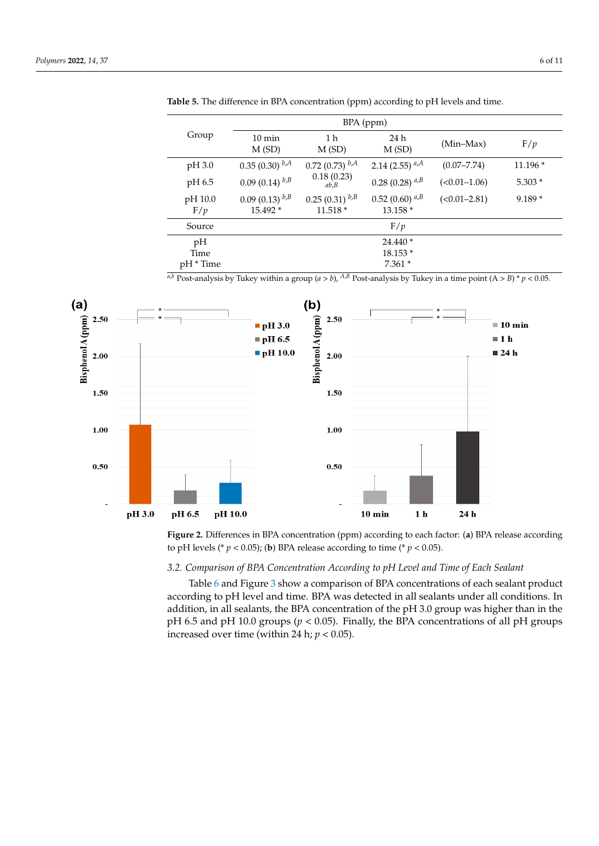|                         | BPA (ppm)                        |                                    |                                    |                 |           |
|-------------------------|----------------------------------|------------------------------------|------------------------------------|-----------------|-----------|
| Group                   | $10 \text{ min}$<br>M(SD)        | 1 h<br>M(SD)                       | 24 h<br>M(SD)                      | (Min-Max)       | F/p       |
| pH 3.0                  | $0.35(0.30)$ $^{b,A}$            | 0.72 (0.73) $^{b,A}$               | 2.14 (2.55) $a,A$                  | $(0.07 - 7.74)$ | $11.196*$ |
| pH 6.5                  | 0.09 (0.14) $^{b,B}$             | 0.18(0.23)<br>ab.B                 | 0.28 (0.28) $a, b$                 | $(<0.01-1.06)$  | $5.303*$  |
| pH 10.0<br>F/p          | 0.09 (0.13) $^{b,B}$<br>15.492 * | $0.25(0.31)$ $^{b,B}$<br>$11.518*$ | $0.52$ (0.60) $a, B$<br>$13.158*$  | $(<0.01-2.81)$  | $9.189*$  |
| Source                  |                                  |                                    | F/p                                |                 |           |
| pH<br>Time<br>pH * Time |                                  |                                    | $24.440*$<br>$18.153*$<br>$7.361*$ |                 |           |

<span id="page-5-0"></span>**Table 5.** The difference in BPA concentration (ppm) according to pH levels and time. pH 6.5 0.09 (0.14) *b,B* 0.18 (0.23) *ab,B* 0.28 (0.28) *a,B* (<0.01–1.06) 5.303 *\** **EXAMPLE 3.** The difference in BTA concentration (ppm) according to pTT levels and time.

<span id="page-5-1"></span> $a,b$  Post-analysis by Tukey within a group ( $a > b$ ), <sup>A,B</sup> Post-analysis by Tukey in a time point (A > B) \*  $p < 0.05$ .



Figure 2. Differences in BPA concentration (ppm) according to each factor: (a) BPA release according to pH levels (\*  $p < 0.05$ ); (**b**) BPA release according to time (\*  $p < 0.05$ ).

# *3.2. Comparison of BPA Concentration According to pH Level and Time of Each Sealant 3.2. Comparison of BPA Concentration According to pH Level and Time of Each Sealant*

Table 6 and Figure 3 show a comparison of BPA concentrations of each sealant according to pH level and time. BPA was detected in all sealants under all conditions. In product according to pH level and time. BPA was detected in all sealants under all addition, in all sealants, the BPA concentration of the pH 3.0 group was higher than in the pH 6.5 and pH 10.0 groups ( $p < 0.05$ ). Finally, the BPA concentrations of all pH groups increased over time (within 24 h;  $p < 0.05$ ). of all pH groups increased over time (within 24 h; *p* < 0.05). Table [6](#page-6-0) and Figure [3](#page-6-1) show a comparison of BPA concentrations of each sealant product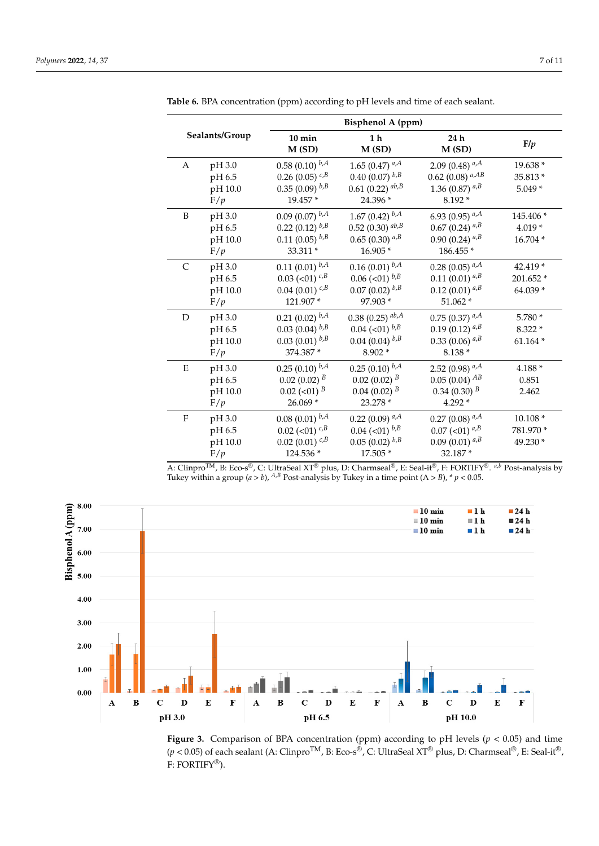|               |                |                             | <b>Bisphenol A (ppm)</b> |                            |           |
|---------------|----------------|-----------------------------|--------------------------|----------------------------|-----------|
|               | Sealants/Group | 10 min<br>M(SD)             | 1 <sub>h</sub><br>M(SD)  | 24 h<br>M(SD)              | F/p       |
| A             | pH 3.0         | 0.58 (0.10) $^{b,A}$        | 1.65 (0.47) $^{a,A}$     | 2.09 (0.48) $a,A$          | 19.638 *  |
|               | pH 6.5         | 0.26 (0.05) $^{c,B}$        | 0.40 (0.07) $^{b,B}$     | 0.62 (0.08) $^{a,AB}$      | 35.813 *  |
|               | pH 10.0        | 0.35 (0.09) $^{b,B}$        | 0.61 (0.22) $ab, B$      | 1.36 (0.87) $a,B$          | $5.049*$  |
|               | F/p            | 19.457 *                    | 24.396 *                 | 8.192 *                    |           |
| B             | pH 3.0         | $0.09(0.07)$ $^{b,A}$       | 1.67 (0.42) $^{b,A}$     | 6.93 (0.95) $^{a,A}$       | 145.406 * |
|               | pH 6.5         | 0.22 (0.12) $^{b,B}$        | 0.52 (0.30) $^{ab,B}$    | $0.67(0.24)^{a,B}$         | $4.019*$  |
|               | pH 10.0        | $0.11(0.05)$ <sup>b,B</sup> | $0.65\ (0.30)^{\,a,B}$   | 0.90 (0.24) $a, B$         | $16.704*$ |
|               | F/p            | 33.311 *                    | 16.905 *                 | 186.455*                   |           |
| $\mathcal{C}$ | pH 3.0         | 0.11 (0.01) $^{b,A}$        | $0.16(0.01)^{b,A}$       | 0.28 (0.05) $^{a,A}$       | 42.419 *  |
|               | pH 6.5         | $0.03$ (<01) <sup>c,B</sup> | $0.06$ (<01) $^{b,B}$    | $0.11(0.01)^{a,B}$         | 201.652 * |
|               | pH 10.0        | $0.04(0.01)^{c,B}$          | $0.07(0.02)$ $^{b,B}$    | $0.12$ (0.01) $a,B$        | 64.039 *  |
|               | F/p            | 121.907 *                   | 97.903 *                 | $51.062*$                  |           |
| $\mathbf D$   | pH 3.0         | 0.21 (0.02) $^{b,A}$        | 0.38 (0.25) $ab, A$      | $0.75$ $(0.37)$ $^{a,A}$   | 5.780 *   |
|               | pH 6.5         | $0.03(0.04)^{b,B}$          | $0.04$ (<01) $^{b,B}$    | 0.19 (0.12) $^{a,B}$       | 8.322 *   |
|               | pH 10.0        | $0.03(0.01)^{b,B}$          | $0.04(0.04)^{b,B}$       | 0.33 (0.06) $a, B$         | $61.164*$ |
|               | F/p            | 374.387 *                   | 8.902 *                  | $8.138*$                   |           |
| E             | pH 3.0         | 0.25 (0.10) $^{b,A}$        | 0.25 (0.10) $^{b,A}$     | 2.52 (0.98) $a,A$          | 4.188 *   |
|               | pH 6.5         | $0.02$ (0.02) $B$           | $0.02(0.02)^{B}$         | $0.05(0.04)$ <sup>AB</sup> | 0.851     |
|               | pH 10.0        | $0.02$ (<01) <sup>B</sup>   | $0.04(0.02)^{B}$         | $0.34$ (0.30) $^B$         | 2.462     |
|               | F/p            | 26.069 *                    | 23.278 *                 | 4.292 *                    |           |
| $\rm F$       | pH 3.0         | $0.08(0.01)^{b,A}$          | 0.22 (0.09) $^{a,A}$     | $0.27(0.08)^{a,A}$         | $10.108*$ |
|               | pH 6.5         | $0.02$ (<01) <sup>c,B</sup> | 0.04 (<01) $^{b,B}$      | $0.07$ (<01) $^{a,B}$      | 781.970 * |
|               | pH 10.0        | 0.02 (0.01) $c, B$          | $0.05(0.02)$ $^{b,B}$    | $0.09(0.01)^{a,B}$         | 49.230 *  |
|               | F/p            | 124.536 *                   | 17.505 *                 | 32.187*                    |           |
|               |                |                             |                          |                            |           |

<span id="page-6-0"></span>**Table 6.** BPA concentration (ppm) according to pH levels and time of each sealant.

<span id="page-6-1"></span>A: ClinproTM, B: Eco-s®, C: UltraSeal XT® plus, D: Charmseal®, E: Seal-it®, F: FORTIFY®. *<sup>a</sup>*,*<sup>b</sup>* Post-analysis by Tukey within a group ( $a > b$ ), <sup> $A,B$ </sup> Post-analysis by Tukey in a time point ( $A > B$ ),  $* p < 0.05$ .  $\overline{A\cdot C}$ 



 $F_1 \times 0.05$  of each scalant (A: Clinnes<sup>TM</sup>, B: Eco.  $e^{0}$ , C: UltraScal  $\chi T^0$  plus D: Charmscal<sup>®</sup>, E: Scal $\mu$ <sup>6</sup> 0.05) of each sealant (A: ClinproTM, B: Eco-s®, C: UltraSeal XT® plus, D: Charmseal®, E: Seal-it®, F: (*p* < 0.05) of each sealant (A: ClinproTM, B: Eco-s®, C: UltraSeal XT® plus, D: Charmseal®, E: Seal-it®, F: FORTIFY<sup>®</sup>). **Figure 3.** Comparison of BPA concentration (ppm) according to pH levels (*p* < 0.05) and time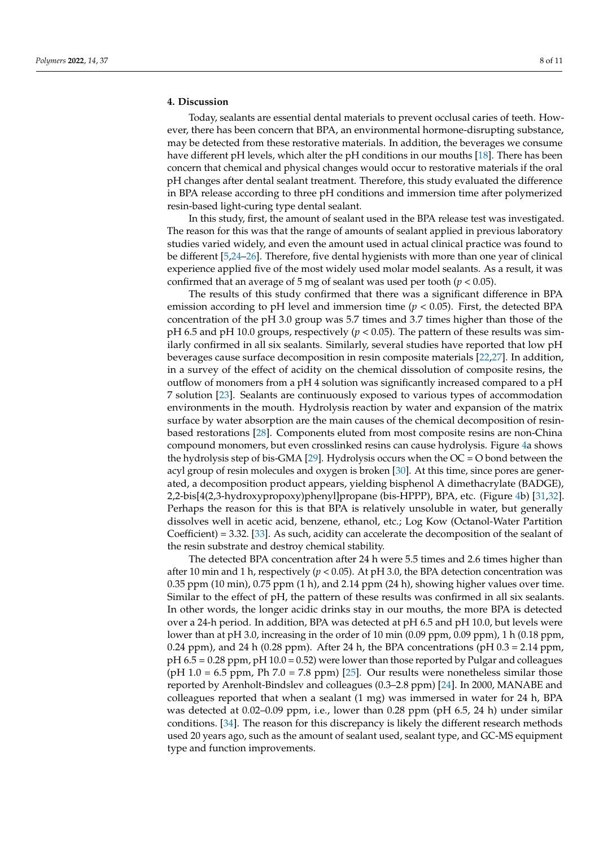#### **4. Discussion**

Today, sealants are essential dental materials to prevent occlusal caries of teeth. However, there has been concern that BPA, an environmental hormone-disrupting substance, may be detected from these restorative materials. In addition, the beverages we consume have different pH levels, which alter the pH conditions in our mouths [\[18\]](#page-10-0). There has been concern that chemical and physical changes would occur to restorative materials if the oral pH changes after dental sealant treatment. Therefore, this study evaluated the difference in BPA release according to three pH conditions and immersion time after polymerized resin-based light-curing type dental sealant.

In this study, first, the amount of sealant used in the BPA release test was investigated. The reason for this was that the range of amounts of sealant applied in previous laboratory studies varied widely, and even the amount used in actual clinical practice was found to be different [\[5](#page-9-2)[,24–](#page-10-6)[26\]](#page-10-7). Therefore, five dental hygienists with more than one year of clinical experience applied five of the most widely used molar model sealants. As a result, it was confirmed that an average of 5 mg of sealant was used per tooth ( $p < 0.05$ ).

The results of this study confirmed that there was a significant difference in BPA emission according to pH level and immersion time  $(p < 0.05)$ . First, the detected BPA concentration of the pH 3.0 group was 5.7 times and 3.7 times higher than those of the pH 6.5 and pH 10.0 groups, respectively  $(p < 0.05)$ . The pattern of these results was similarly confirmed in all six sealants. Similarly, several studies have reported that low pH beverages cause surface decomposition in resin composite materials [\[22,](#page-10-4)[27\]](#page-10-8). In addition, in a survey of the effect of acidity on the chemical dissolution of composite resins, the outflow of monomers from a pH 4 solution was significantly increased compared to a pH 7 solution [\[23\]](#page-10-5). Sealants are continuously exposed to various types of accommodation environments in the mouth. Hydrolysis reaction by water and expansion of the matrix surface by water absorption are the main causes of the chemical decomposition of resinbased restorations [\[28\]](#page-10-9). Components eluted from most composite resins are non-China compound monomers, but even crosslinked resins can cause hydrolysis. Figure [4a](#page-8-0) shows the hydrolysis step of bis-GMA [\[29\]](#page-10-10). Hydrolysis occurs when the OC = O bond between the acyl group of resin molecules and oxygen is broken [\[30\]](#page-10-11). At this time, since pores are generated, a decomposition product appears, yielding bisphenol A dimethacrylate (BADGE), 2,2-bis[4(2,3-hydroxypropoxy)phenyl]propane (bis-HPPP), BPA, etc. (Figure [4b](#page-8-0)) [\[31,](#page-10-12)[32\]](#page-10-13). Perhaps the reason for this is that BPA is relatively unsoluble in water, but generally dissolves well in acetic acid, benzene, ethanol, etc.; Log Kow (Octanol-Water Partition Coefficient) = 3.32. [\[33\]](#page-10-14). As such, acidity can accelerate the decomposition of the sealant of the resin substrate and destroy chemical stability.

The detected BPA concentration after 24 h were 5.5 times and 2.6 times higher than after 10 min and 1 h, respectively ( $p < 0.05$ ). At pH 3.0, the BPA detection concentration was 0.35 ppm (10 min), 0.75 ppm (1 h), and 2.14 ppm (24 h), showing higher values over time. Similar to the effect of pH, the pattern of these results was confirmed in all six sealants. In other words, the longer acidic drinks stay in our mouths, the more BPA is detected over a 24-h period. In addition, BPA was detected at pH 6.5 and pH 10.0, but levels were lower than at pH 3.0, increasing in the order of 10 min (0.09 ppm, 0.09 ppm), 1 h (0.18 ppm, 0.24 ppm), and 24 h (0.28 ppm). After 24 h, the BPA concentrations (pH  $0.3 = 2.14$  ppm,  $pH 6.5 = 0.28$  ppm,  $pH 10.0 = 0.52$ ) were lower than those reported by Pulgar and colleagues (pH  $1.0 = 6.5$  ppm, Ph  $7.0 = 7.8$  ppm) [\[25\]](#page-10-15). Our results were nonetheless similar those reported by Arenholt-Bindslev and colleagues (0.3–2.8 ppm) [\[24\]](#page-10-6). In 2000, MANABE and colleagues reported that when a sealant (1 mg) was immersed in water for 24 h, BPA was detected at 0.02–0.09 ppm, i.e., lower than 0.28 ppm (pH 6.5, 24 h) under similar conditions. [\[34\]](#page-10-16). The reason for this discrepancy is likely the different research methods used 20 years ago, such as the amount of sealant used, sealant type, and GC-MS equipment type and function improvements.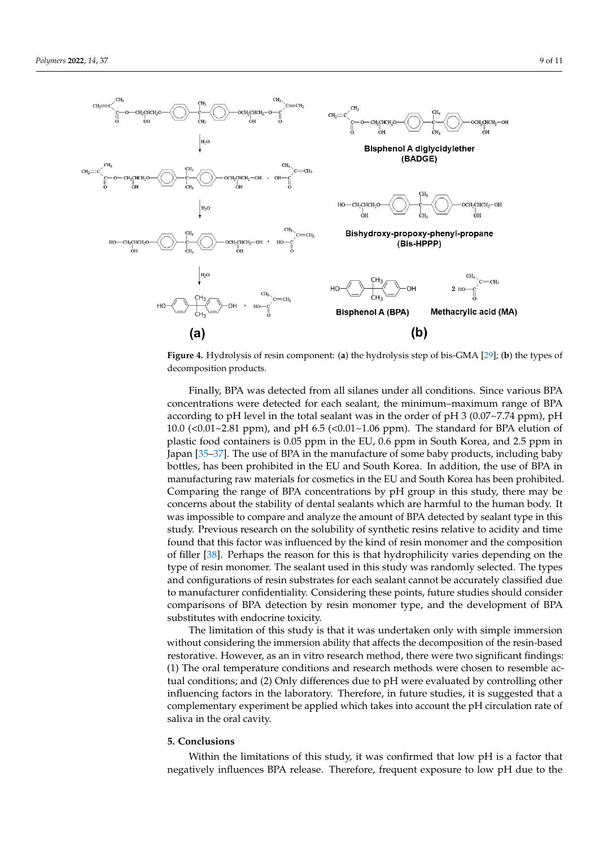

<span id="page-8-0"></span>sealant of the resin substrate and destroy chemical stability.

Figure 4. Hydrolysis of resin component: (a) the hydrolysis step of bis-GMA [\[29](#page-10-10)]; (b) the types of decomposition products. decomposition products.

Finally, BPA was detected from all silanes under all conditions. Since various BPA concentrations were detected for each sealant, the minimum–maximum range of BPA according to pH level in the total sealant was in the order of pH 3  $(0.07~7.74$  ppm), pH 10.0 (<0.01~2.81 ppm), and pH 6.5 (<0.01~1.06 ppm). The standard for BPA elution of plastic food containers is 0.05 ppm in the EU, 0.6 ppm in South Korea, and 2.5 ppm in Japan [\[35](#page-10-17)[–37\]](#page-10-18). The use of BPA in the manufacture of some baby products, including baby bottles, has been prohibited in the EU and South Korea. In addition, the use of BPA in manufacturing raw materials for cosmetics in the EU and South Korea has been prohibited. Comparing the range of BPA concentrations by pH group in this study, there may be concerns about the stability of dental sealants which are harmful to the human body. It was impossible to compare and analyze the amount of BPA detected by sealant type in this study. Previous research on the solubility of synthetic resins relative to acidity and time found that this factor was influenced by the kind of resin monomer and the composition of filler [\[38\]](#page-10-19). Perhaps the reason for this is that hydrophilicity varies depending on the type of resin monomer. The sealant used in this study was randomly selected. The types and configurations of resin substrates for each sealant cannot be accurately classified due to manufacturer confidentiality. Considering these points, future studies should consider comparisons of BPA detection by resin monomer type, and the development of BPA substitutes with endocrine toxicity.

The limitation of this study is that it was undertaken only with simple immersion without considering the immersion ability that affects the decomposition of the resin-based restorative. However, as an in vitro research method, there were two significant findings: (1) The oral temperature conditions and research methods were chosen to resemble actual conditions; and (2) Only differences due to pH were evaluated by controlling other influencing factors in the laboratory. Therefore, in future studies, it is suggested that a complementary experiment be applied which takes into account the pH circulation rate of saliva in the oral cavity.

#### **5. Conclusions**

Within the limitations of this study, it was confirmed that low pH is a factor that negatively influences BPA release. Therefore, frequent exposure to low pH due to the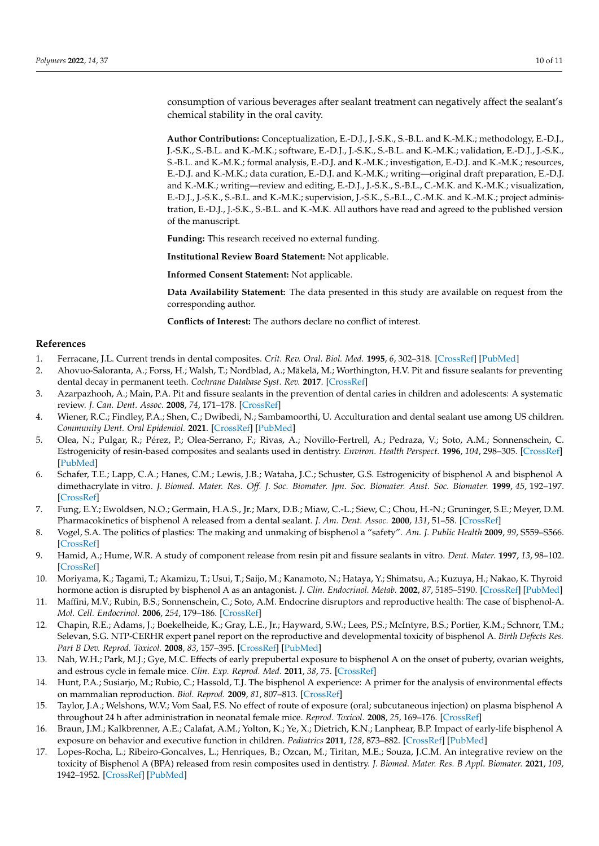consumption of various beverages after sealant treatment can negatively affect the sealant's chemical stability in the oral cavity.

**Author Contributions:** Conceptualization, E.-D.J., J.-S.K., S.-B.L. and K.-M.K.; methodology, E.-D.J., J.-S.K., S.-B.L. and K.-M.K.; software, E.-D.J., J.-S.K., S.-B.L. and K.-M.K.; validation, E.-D.J., J.-S.K., S.-B.L. and K.-M.K.; formal analysis, E.-D.J. and K.-M.K.; investigation, E.-D.J. and K.-M.K.; resources, E.-D.J. and K.-M.K.; data curation, E.-D.J. and K.-M.K.; writing—original draft preparation, E.-D.J. and K.-M.K.; writing—review and editing, E.-D.J., J.-S.K., S.-B.L., C.-M.K. and K.-M.K.; visualization, E.-D.J., J.-S.K., S.-B.L. and K.-M.K.; supervision, J.-S.K., S.-B.L., C.-M.K. and K.-M.K.; project administration, E.-D.J., J.-S.K., S.-B.L. and K.-M.K. All authors have read and agreed to the published version of the manuscript.

**Funding:** This research received no external funding.

**Institutional Review Board Statement:** Not applicable.

**Informed Consent Statement:** Not applicable.

**Data Availability Statement:** The data presented in this study are available on request from the corresponding author.

**Conflicts of Interest:** The authors declare no conflict of interest.

#### **References**

- <span id="page-9-0"></span>1. Ferracane, J.L. Current trends in dental composites. *Crit. Rev. Oral. Biol. Med.* **1995**, *6*, 302–318. [\[CrossRef\]](http://doi.org/10.1177/10454411950060040301) [\[PubMed\]](http://www.ncbi.nlm.nih.gov/pubmed/8664421)
- 2. Ahovuo-Saloranta, A.; Forss, H.; Walsh, T.; Nordblad, A.; Mäkelä, M.; Worthington, H.V. Pit and fissure sealants for preventing dental decay in permanent teeth. *Cochrane Database Syst. Rev.* **2017**. [\[CrossRef\]](http://doi.org/10.1002/14651858.CD001830.pub5)
- 3. Azarpazhooh, A.; Main, P.A. Pit and fissure sealants in the prevention of dental caries in children and adolescents: A systematic review. *J. Can. Dent. Assoc.* **2008**, *74*, 171–178. [\[CrossRef\]](http://doi.org/10.1002/14651858.CD001830.pub5)
- <span id="page-9-1"></span>4. Wiener, R.C.; Findley, P.A.; Shen, C.; Dwibedi, N.; Sambamoorthi, U. Acculturation and dental sealant use among US children. *Community Dent. Oral Epidemiol.* **2021**. [\[CrossRef\]](http://doi.org/10.1111/cdoe.12678) [\[PubMed\]](http://www.ncbi.nlm.nih.gov/pubmed/34251694)
- <span id="page-9-2"></span>5. Olea, N.; Pulgar, R.; Pérez, P.; Olea-Serrano, F.; Rivas, A.; Novillo-Fertrell, A.; Pedraza, V.; Soto, A.M.; Sonnenschein, C. Estrogenicity of resin-based composites and sealants used in dentistry. *Environ. Health Perspect.* **1996**, *104*, 298–305. [\[CrossRef\]](http://doi.org/10.1289/ehp.96104298) [\[PubMed\]](http://www.ncbi.nlm.nih.gov/pubmed/8919768)
- <span id="page-9-3"></span>6. Schafer, T.E.; Lapp, C.A.; Hanes, C.M.; Lewis, J.B.; Wataha, J.C.; Schuster, G.S. Estrogenicity of bisphenol A and bisphenol A dimethacrylate in vitro. *J. Biomed. Mater. Res. Off. J. Soc. Biomater. Jpn. Soc. Biomater. Aust. Soc. Biomater.* **1999**, *45*, 192–197. [\[CrossRef\]](http://doi.org/10.1002/(SICI)1097-4636(19990605)45:3<192::AID-JBM5>3.0.CO;2-A)
- <span id="page-9-4"></span>7. Fung, E.Y.; Ewoldsen, N.O.; Germain, H.A.S., Jr.; Marx, D.B.; Miaw, C.-L.; Siew, C.; Chou, H.-N.; Gruninger, S.E.; Meyer, D.M. Pharmacokinetics of bisphenol A released from a dental sealant. *J. Am. Dent. Assoc.* **2000**, *131*, 51–58. [\[CrossRef\]](http://doi.org/10.14219/jada.archive.2000.0019)
- <span id="page-9-5"></span>8. Vogel, S.A. The politics of plastics: The making and unmaking of bisphenol a "safety". *Am. J. Public Health* **2009**, *99*, S559–S566. [\[CrossRef\]](http://doi.org/10.2105/AJPH.2008.159228)
- <span id="page-9-6"></span>9. Hamid, A.; Hume, W.R. A study of component release from resin pit and fissure sealants in vitro. *Dent. Mater.* **1997**, *13*, 98–102. [\[CrossRef\]](http://doi.org/10.1016/S0109-5641(97)80018-8)
- 10. Moriyama, K.; Tagami, T.; Akamizu, T.; Usui, T.; Saijo, M.; Kanamoto, N.; Hataya, Y.; Shimatsu, A.; Kuzuya, H.; Nakao, K. Thyroid hormone action is disrupted by bisphenol A as an antagonist. *J. Clin. Endocrinol. Metab.* **2002**, *87*, 5185–5190. [\[CrossRef\]](http://doi.org/10.1210/jc.2002-020209) [\[PubMed\]](http://www.ncbi.nlm.nih.gov/pubmed/12414890)
- <span id="page-9-7"></span>11. Maffini, M.V.; Rubin, B.S.; Sonnenschein, C.; Soto, A.M. Endocrine disruptors and reproductive health: The case of bisphenol-A. *Mol. Cell. Endocrinol.* **2006**, *254*, 179–186. [\[CrossRef\]](http://doi.org/10.1016/j.mce.2006.04.033)
- <span id="page-9-8"></span>12. Chapin, R.E.; Adams, J.; Boekelheide, K.; Gray, L.E., Jr.; Hayward, S.W.; Lees, P.S.; McIntyre, B.S.; Portier, K.M.; Schnorr, T.M.; Selevan, S.G. NTP-CERHR expert panel report on the reproductive and developmental toxicity of bisphenol A. *Birth Defects Res. Part B Dev. Reprod. Toxicol.* **2008**, *83*, 157–395. [\[CrossRef\]](http://doi.org/10.1002/bdrb.20147) [\[PubMed\]](http://www.ncbi.nlm.nih.gov/pubmed/18613034)
- <span id="page-9-9"></span>13. Nah, W.H.; Park, M.J.; Gye, M.C. Effects of early prepubertal exposure to bisphenol A on the onset of puberty, ovarian weights, and estrous cycle in female mice. *Clin. Exp. Reprod. Med.* **2011**, *38*, 75. [\[CrossRef\]](http://doi.org/10.5653/cerm.2011.38.2.75)
- <span id="page-9-10"></span>14. Hunt, P.A.; Susiarjo, M.; Rubio, C.; Hassold, T.J. The bisphenol A experience: A primer for the analysis of environmental effects on mammalian reproduction. *Biol. Reprod.* **2009**, *81*, 807–813. [\[CrossRef\]](http://doi.org/10.1095/biolreprod.109.077008)
- <span id="page-9-11"></span>15. Taylor, J.A.; Welshons, W.V.; Vom Saal, F.S. No effect of route of exposure (oral; subcutaneous injection) on plasma bisphenol A throughout 24 h after administration in neonatal female mice. *Reprod. Toxicol.* **2008**, *25*, 169–176. [\[CrossRef\]](http://doi.org/10.1016/j.reprotox.2008.01.001)
- <span id="page-9-12"></span>16. Braun, J.M.; Kalkbrenner, A.E.; Calafat, A.M.; Yolton, K.; Ye, X.; Dietrich, K.N.; Lanphear, B.P. Impact of early-life bisphenol A exposure on behavior and executive function in children. *Pediatrics* **2011**, *128*, 873–882. [\[CrossRef\]](http://doi.org/10.1542/peds.2011-1335) [\[PubMed\]](http://www.ncbi.nlm.nih.gov/pubmed/22025598)
- <span id="page-9-13"></span>17. Lopes-Rocha, L.; Ribeiro-Goncalves, L.; Henriques, B.; Ozcan, M.; Tiritan, M.E.; Souza, J.C.M. An integrative review on the toxicity of Bisphenol A (BPA) released from resin composites used in dentistry. *J. Biomed. Mater. Res. B Appl. Biomater.* **2021**, *109*, 1942–1952. [\[CrossRef\]](http://doi.org/10.1002/jbm.b.34843) [\[PubMed\]](http://www.ncbi.nlm.nih.gov/pubmed/33834604)